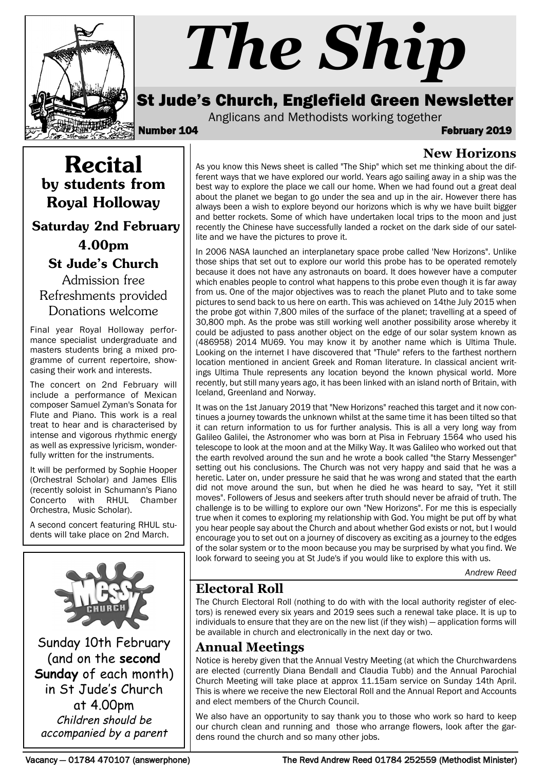

# *The Ship*

# St Jude's Church, Englefield Green Newsletter

Anglicans and Methodists working together

Number 104 February 2019

**New Horizons**

Recital by students from Royal Holloway Saturday 2nd February

# 4.00pm

St Jude's Church

Admission free Refreshments provided Donations welcome

Final year Royal Holloway performance specialist undergraduate and masters students bring a mixed programme of current repertoire, showcasing their work and interests.

The concert on 2nd February will include a performance of Mexican composer Samuel Zyman's Sonata for Flute and Piano. This work is a real treat to hear and is characterised by intense and vigorous rhythmic energy as well as expressive lyricism, wonderfully written for the instruments.

It will be performed by Sophie Hooper (Orchestral Scholar) and James Ellis (recently soloist in Schumann's Piano Concerto with RHUL Chamber Orchestra, Music Scholar).

A second concert featuring RHUL students will take place on 2nd March.



Sunday 10th February (and on the **second Sunday** of each month) in St Jude's Church at 4.00pm Children should be accompanied by a parent

As you know this News sheet is called "The Ship" which set me thinking about the different ways that we have explored our world. Years ago sailing away in a ship was the best way to explore the place we call our home. When we had found out a great deal about the planet we began to go under the sea and up in the air. However there has always been a wish to explore beyond our horizons which is why we have built bigger and better rockets. Some of which have undertaken local trips to the moon and just recently the Chinese have successfully landed a rocket on the dark side of our satellite and we have the pictures to prove it.

In 2006 NASA launched an interplanetary space probe called 'New Horizons". Unlike those ships that set out to explore our world this probe has to be operated remotely because it does not have any astronauts on board. It does however have a computer which enables people to control what happens to this probe even though it is far away from us. One of the major objectives was to reach the planet Pluto and to take some pictures to send back to us here on earth. This was achieved on 14the July 2015 when the probe got within 7,800 miles of the surface of the planet; travelling at a speed of 30,800 mph. As the probe was still working well another possibility arose whereby it could be adjusted to pass another object on the edge of our solar system known as (486958) 2014 MU69. You may know it by another name which is Ultima Thule. Looking on the internet I have discovered that "Thule" refers to the farthest northern location mentioned in ancient Greek and Roman literature. In classical ancient writings Ultima Thule represents any location beyond the known physical world. More recently, but still many years ago, it has been linked with an island north of Britain, with Iceland, Greenland and Norway.

It was on the 1st January 2019 that "New Horizons" reached this target and it now continues a journey towards the unknown whilst at the same time it has been tilted so that it can return information to us for further analysis. This is all a very long way from Galileo Galilei, the Astronomer who was born at Pisa in February 1564 who used his telescope to look at the moon and at the Milky Way. It was Galileo who worked out that the earth revolved around the sun and he wrote a book called "the Starry Messenger" setting out his conclusions. The Church was not very happy and said that he was a heretic. Later on, under pressure he said that he was wrong and stated that the earth did not move around the sun, but when he died he was heard to say, "Yet it still moves". Followers of Jesus and seekers after truth should never be afraid of truth. The challenge is to be willing to explore our own "New Horizons". For me this is especially true when it comes to exploring my relationship with God. You might be put off by what you hear people say about the Church and about whether God exists or not, but I would encourage you to set out on a journey of discovery as exciting as a journey to the edges of the solar system or to the moon because you may be surprised by what you find. We look forward to seeing you at St Jude's if you would like to explore this with us.

*Andrew Reed*

# **Electoral Roll**

The Church Electoral Roll (nothing to do with with the local authority register of electors) is renewed every six years and 2019 sees such a renewal take place. It is up to individuals to ensure that they are on the new list (if they wish) — application forms will be available in church and electronically in the next day or two.

# **Annual Meetings**

Notice is hereby given that the Annual Vestry Meeting (at which the Churchwardens are elected (currently Diana Bendall and Claudia Tubb) and the Annual Parochial Church Meeting will take place at approx 11.15am service on Sunday 14th April. This is where we receive the new Electoral Roll and the Annual Report and Accounts and elect members of the Church Council.

We also have an opportunity to say thank you to those who work so hard to keep our church clean and running and those who arrange flowers, look after the gardens round the church and so many other jobs.